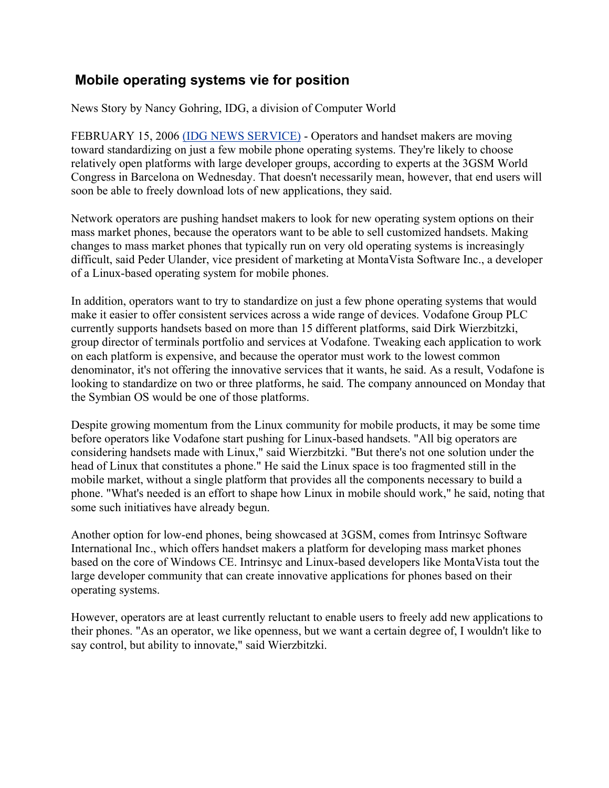## **Mobile operating systems vie for position**

News Story by Nancy Gohring, IDG, a division of Computer World

 FEBRUARY 15, 2006 (IDG NEWS SERVICE) - Operators and handset makers are moving toward standardizing on just a few mobile phone operating systems. They're likely to choose relatively open platforms with large developer groups, according to experts at the 3GSM World Congress in Barcelona on Wednesday. That doesn't necessarily mean, however, that end users will soon be able to freely download lots of new applications, they said.

Network operators are pushing handset makers to look for new operating system options on their mass market phones, because the operators want to be able to sell customized handsets. Making changes to mass market phones that typically run on very old operating systems is increasingly difficult, said Peder Ulander, vice president of marketing at MontaVista Software Inc., a developer of a Linux-based operating system for mobile phones.

In addition, operators want to try to standardize on just a few phone operating systems that would make it easier to offer consistent services across a wide range of devices. Vodafone Group PLC currently supports handsets based on more than 15 different platforms, said Dirk Wierzbitzki, group director of terminals portfolio and services at Vodafone. Tweaking each application to work on each platform is expensive, and because the operator must work to the lowest common denominator, it's not offering the innovative services that it wants, he said. As a result, Vodafone is looking to standardize on two or three platforms, he said. The company announced on Monday that the Symbian OS would be one of those platforms.

Despite growing momentum from the Linux community for mobile products, it may be some time before operators like Vodafone start pushing for Linux-based handsets. "All big operators are considering handsets made with Linux," said Wierzbitzki. "But there's not one solution under the head of Linux that constitutes a phone." He said the Linux space is too fragmented still in the mobile market, without a single platform that provides all the components necessary to build a phone. "What's needed is an effort to shape how Linux in mobile should work," he said, noting that some such initiatives have already begun.

Another option for low-end phones, being showcased at 3GSM, comes from Intrinsyc Software International Inc., which offers handset makers a platform for developing mass market phones based on the core of Windows CE. Intrinsyc and Linux-based developers like MontaVista tout the large developer community that can create innovative applications for phones based on their operating systems.

However, operators are at least currently reluctant to enable users to freely add new applications to their phones. "As an operator, we like openness, but we want a certain degree of, I wouldn't like to say control, but ability to innovate," said Wierzbitzki.